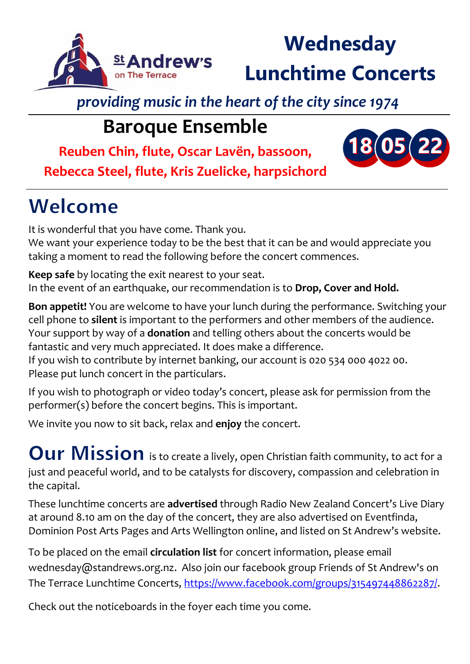

# **Wednesday Lunchtime Concerts**

**18 05 22**

*providing music in the heart of the city since 1974*

### **Baroque Ensemble**

**Reuben Chin, flute, Oscar Lavën, bassoon,** 

**Rebecca Steel, flute, Kris Zuelicke, harpsichord**

## Welcome

It is wonderful that you have come. Thank you. We want your experience today to be the best that it can be and would appreciate you taking a moment to read the following before the concert commences.

**Keep safe** by locating the exit nearest to your seat. In the event of an earthquake, our recommendation is to **Drop, Cover and Hold.** 

**Bon appetit!** You are welcome to have your lunch during the performance. Switching your cell phone to **silent** is important to the performers and other members of the audience. Your support by way of a **donation** and telling others about the concerts would be fantastic and very much appreciated. It does make a difference.

If you wish to contribute by internet banking, our account is 020 534 000 4022 00. Please put lunch concert in the particulars.

If you wish to photograph or video today's concert, please ask for permission from the performer(s) before the concert begins. This is important.

We invite you now to sit back, relax and **enjoy** the concert.

Our Mission is to create a lively, open Christian faith community, to act for a just and peaceful world, and to be catalysts for discovery, compassion and celebration in the capital.

These lunchtime concerts are **advertised** through Radio New Zealand Concert's Live Diary at around 8.10 am on the day of the concert, they are also advertised on Eventfinda, Dominion Post Arts Pages and Arts Wellington online, and listed on St Andrew's website.

To be placed on the email **circulation list** for concert information, please email wednesday@standrews.org.nz. Also join our facebook group Friends of St Andrew's on The Terrace Lunchtime Concerts, [https://www.facebook.com/groups/315497448862287/.](https://www.facebook.com/groups/315497448862287/)

Check out the noticeboards in the foyer each time you come.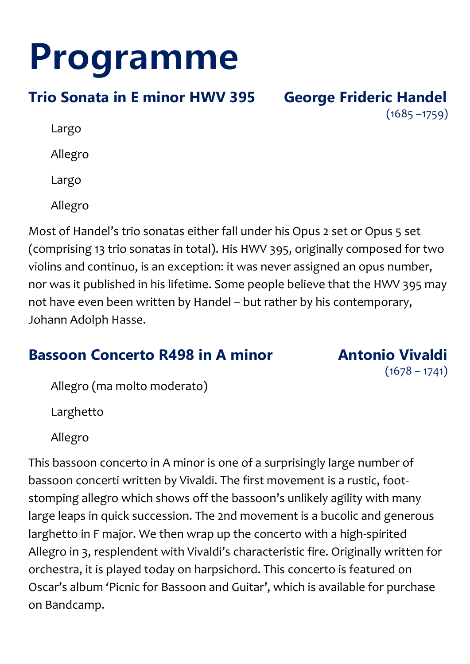# Programme

### **Trio Sonata in E minor HWV 395 George Frideric Handel**

 $(1685 - 1759)$ 

Largo

Allegro

Largo

Allegro

Most of Handel's trio sonatas either fall under his Opus 2 set or Opus 5 set (comprising 13 trio sonatas in total). His HWV 395, originally composed for two violins and continuo, is an exception: it was never assigned an opus number, nor was it published in his lifetime. Some people believe that the HWV 395 may not have even been written by Handel – but rather by his contemporary, Johann Adolph Hasse.

### **Bassoon Concerto R498 in A minor Manufarm Antonio Vivaldi**

 $(1678 - 1741)$ 

Allegro (ma molto moderato)

Larghetto

Allegro

This bassoon concerto in A minor is one of a surprisingly large number of bassoon concerti written by Vivaldi. The first movement is a rustic, footstomping allegro which shows off the bassoon's unlikely agility with many large leaps in quick succession. The 2nd movement is a bucolic and generous larghetto in F major. We then wrap up the concerto with a high-spirited Allegro in 3, resplendent with Vivaldi's characteristic fire. Originally written for orchestra, it is played today on harpsichord. This concerto is featured on Oscar's album 'Picnic for Bassoon and Guitar', which is available for purchase on Bandcamp.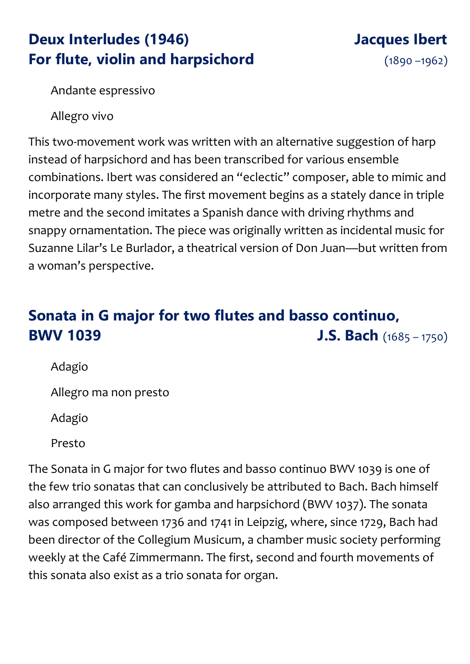### **Deux Interludes (1946) Jacques Ibert For flute, violin and harpsichord** (1890-1962)

Andante espressivo

Allegro vivo

This two-movement work was written with an alternative suggestion of harp instead of harpsichord and has been transcribed for various ensemble combinations. Ibert was considered an "eclectic" composer, able to mimic and incorporate many styles. The first movement begins as a stately dance in triple metre and the second imitates a Spanish dance with driving rhythms and snappy ornamentation. The piece was originally written as incidental music for Suzanne Lilar's Le Burlador, a theatrical version of Don Juan—but written from a woman's perspective.

### **Sonata in G major for two flutes and basso continuo, BWV 1039 J.S. Bach** (1685 – 1750)

Adagio

Allegro ma non presto

Adagio

Presto

The Sonata in G major for two flutes and basso continuo BWV 1039 is one of the few trio sonatas that can conclusively be attributed to Bach. Bach himself also arranged this work for gamba and harpsichord (BWV 1037). The sonata was composed between 1736 and 1741 in Leipzig, where, since 1729, Bach had been director of the Collegium Musicum, a chamber music society performing weekly at the Café Zimmermann. The first, second and fourth movements of this sonata also exist as a trio sonata for organ.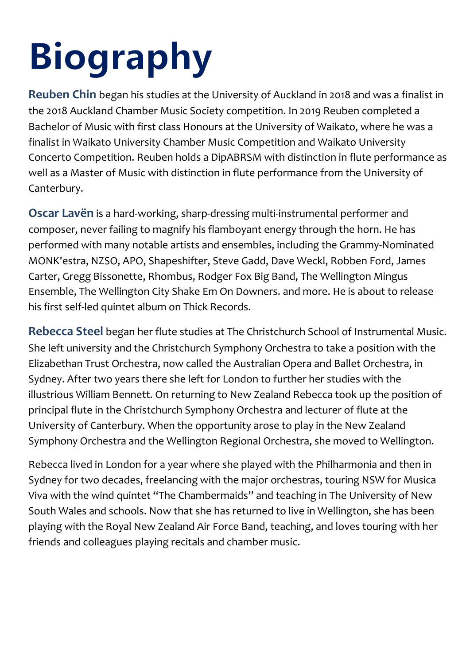# **Biography**

**Reuben Chin** began his studies at the University of Auckland in 2018 and was a finalist in the 2018 Auckland Chamber Music Society competition. In 2019 Reuben completed a Bachelor of Music with first class Honours at the University of Waikato, where he was a finalist in Waikato University Chamber Music Competition and Waikato University Concerto Competition. Reuben holds a DipABRSM with distinction in flute performance as well as a Master of Music with distinction in flute performance from the University of Canterbury.

**Oscar Lavën** is a hard-working, sharp-dressing multi-instrumental performer and composer, never failing to magnify his flamboyant energy through the horn. He has performed with many notable artists and ensembles, including the Grammy-Nominated MONK'estra, NZSO, APO, Shapeshifter, Steve Gadd, Dave Weckl, Robben Ford, James Carter, Gregg Bissonette, Rhombus, Rodger Fox Big Band, The Wellington Mingus Ensemble, The Wellington City Shake Em On Downers. and more. He is about to release his first self-led quintet album on Thick Records.

**Rebecca Steel** began her flute studies at The Christchurch School of Instrumental Music. She left university and the Christchurch Symphony Orchestra to take a position with the Elizabethan Trust Orchestra, now called the Australian Opera and Ballet Orchestra, in Sydney. After two years there she left for London to further her studies with the illustrious William Bennett. On returning to New Zealand Rebecca took up the position of principal flute in the Christchurch Symphony Orchestra and lecturer of flute at the University of Canterbury. When the opportunity arose to play in the New Zealand Symphony Orchestra and the Wellington Regional Orchestra, she moved to Wellington.

Rebecca lived in London for a year where she played with the Philharmonia and then in Sydney for two decades, freelancing with the major orchestras, touring NSW for Musica Viva with the wind quintet "The Chambermaids" and teaching in The University of New South Wales and schools. Now that she has returned to live in Wellington, she has been playing with the Royal New Zealand Air Force Band, teaching, and loves touring with her friends and colleagues playing recitals and chamber music.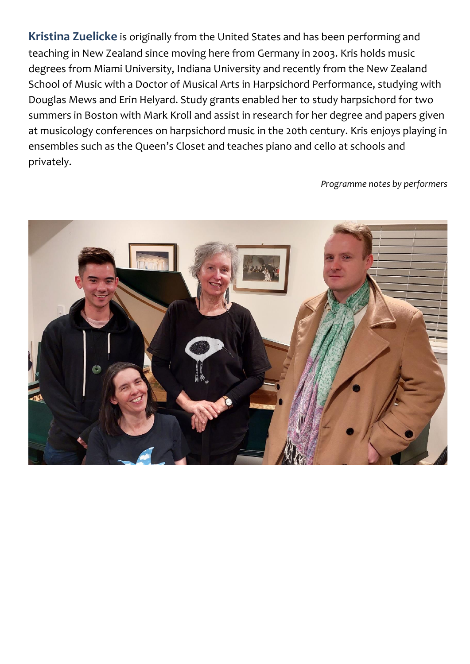**Kristina Zuelicke** is originally from the United States and has been performing and teaching in New Zealand since moving here from Germany in 2003. Kris holds music degrees from Miami University, Indiana University and recently from the New Zealand School of Music with a Doctor of Musical Arts in Harpsichord Performance, studying with Douglas Mews and Erin Helyard. Study grants enabled her to study harpsichord for two summers in Boston with Mark Kroll and assist in research for her degree and papers given at musicology conferences on harpsichord music in the 20th century. Kris enjoys playing in ensembles such as the Queen's Closet and teaches piano and cello at schools and privately.

*Programme notes by performers*